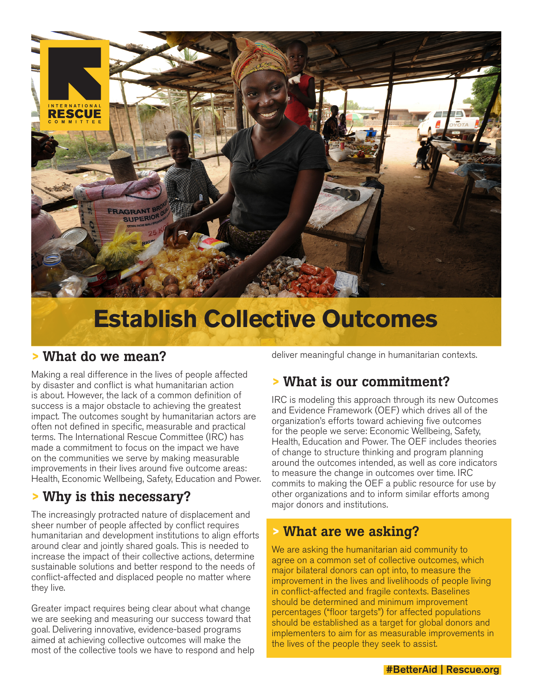

# **Establish Collective Outcomes**

#### **>** What do we mean?

Making a real difference in the lives of people affected by disaster and conflict is what humanitarian action is about. However, the lack of a common definition of success is a major obstacle to achieving the greatest impact. The outcomes sought by humanitarian actors are often not defined in specific, measurable and practical terms. The International Rescue Committee (IRC) has made a commitment to focus on the impact we have on the communities we serve by making measurable improvements in their lives around five outcome areas: Health, Economic Wellbeing, Safety, Education and Power.

## **>** Why is this necessary?

The increasingly protracted nature of displacement and sheer number of people affected by conflict requires humanitarian and development institutions to align efforts around clear and jointly shared goals. This is needed to increase the impact of their collective actions, determine sustainable solutions and better respond to the needs of conflict-affected and displaced people no matter where they live.

Greater impact requires being clear about what change we are seeking and measuring our success toward that goal. Delivering innovative, evidence-based programs aimed at achieving collective outcomes will make the most of the collective tools we have to respond and help deliver meaningful change in humanitarian contexts.

## **>** What is our commitment?

IRC is modeling this approach through its new Outcomes and Evidence Framework (OEF) which drives all of the organization's efforts toward achieving five outcomes for the people we serve: Economic Wellbeing, Safety, Health, Education and Power. The OEF includes theories of change to structure thinking and program planning around the outcomes intended, as well as core indicators to measure the change in outcomes over time. IRC commits to making the OEF a public resource for use by other organizations and to inform similar efforts among major donors and institutions.

#### **>** What are we asking?

We are asking the humanitarian aid community to agree on a common set of collective outcomes, which major bilateral donors can opt into, to measure the improvement in the lives and livelihoods of people living in conflict-affected and fragile contexts. Baselines should be determined and minimum improvement percentages ("floor targets") for affected populations should be established as a target for global donors and implementers to aim for as measurable improvements in the lives of the people they seek to assist.